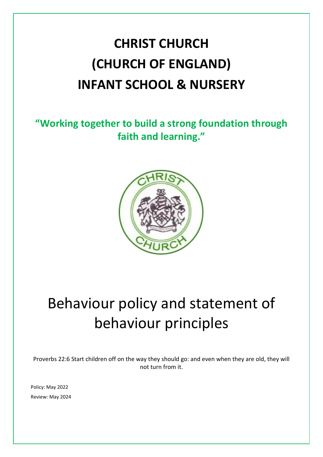# **CHRIST CHURCH (CHURCH OF ENGLAND) INFANT SCHOOL & NURSERY**

**"Working together to build a strong foundation through faith and learning."**



# Behaviour policy and statement of behaviour principles

Proverbs 22:6 Start children off on the way they should go: and even when they are old, they will not turn from it.

Policy: May 2022 Review: May 2024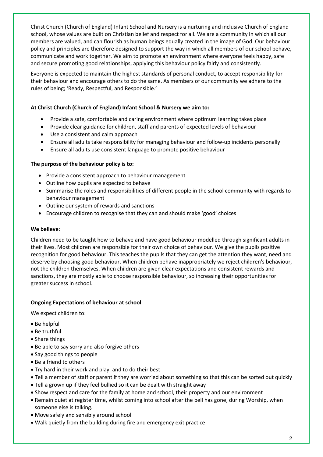Christ Church (Church of England) Infant School and Nursery is a nurturing and inclusive Church of England school, whose values are built on Christian belief and respect for all. We are a community in which all our members are valued, and can flourish as human beings equally created in the image of God. Our behaviour policy and principles are therefore designed to support the way in which all members of our school behave, communicate and work together. We aim to promote an environment where everyone feels happy, safe and secure promoting good relationships, applying this behaviour policy fairly and consistently.

Everyone is expected to maintain the highest standards of personal conduct, to accept responsibility for their behaviour and encourage others to do the same. As members of our community we adhere to the rules of being; 'Ready, Respectful, and Responsible.'

## **At Christ Church (Church of England) Infant School & Nursery we aim to:**

- Provide a safe, comfortable and caring environment where optimum learning takes place
- Provide clear guidance for children, staff and parents of expected levels of behaviour
- Use a consistent and calm approach
- Ensure all adults take responsibility for managing behaviour and follow-up incidents personally
- Ensure all adults use consistent language to promote positive behaviour

## **The purpose of the behaviour policy is to:**

- Provide a consistent approach to behaviour management
- Outline how pupils are expected to behave
- Summarise the roles and responsibilities of different people in the school community with regards to behaviour management
- Outline our system of rewards and sanctions
- Encourage children to recognise that they can and should make 'good' choices

## **We believe**:

Children need to be taught how to behave and have good behaviour modelled through significant adults in their lives. Most children are responsible for their own choice of behaviour. We give the pupils positive recognition for good behaviour. This teaches the pupils that they can get the attention they want, need and deserve by choosing good behaviour. When children behave inappropriately we reject children's behaviour, not the children themselves. When children are given clear expectations and consistent rewards and sanctions, they are mostly able to choose responsible behaviour, so increasing their opportunities for greater success in school.

## **Ongoing Expectations of behaviour at school**

We expect children to:

- Be helpful
- Be truthful
- Share things
- Be able to say sorry and also forgive others
- Say good things to people
- Be a friend to others
- Try hard in their work and play, and to do their best
- Tell a member of staff or parent if they are worried about something so that this can be sorted out quickly
- Tell a grown up if they feel bullied so it can be dealt with straight away
- Show respect and care for the family at home and school, their property and our environment
- Remain quiet at register time, whilst coming into school after the bell has gone, during Worship, when someone else is talking.
- Move safely and sensibly around school
- Walk quietly from the building during fire and emergency exit practice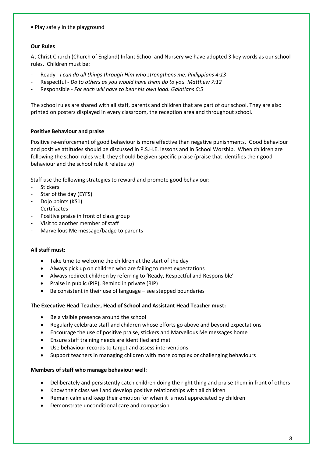Play safely in the playground

## **Our Rules**

At Christ Church (Church of England) Infant School and Nursery we have adopted 3 key words as our school rules. Children must be:

- Ready *I can do all things through Him who strengthens me. Philippians 4:13*
- Respectful *Do to others as you would have them do to you. Matthew 7:12*
- Responsible *For each will have to bear his own load. Galatians 6:5*

The school rules are shared with all staff, parents and children that are part of our school. They are also printed on posters displayed in every classroom, the reception area and throughout school.

#### **Positive Behaviour and praise**

Positive re-enforcement of good behaviour is more effective than negative punishments. Good behaviour and positive attitudes should be discussed in P.S.H.E. lessons and in School Worship. When children are following the school rules well, they should be given specific praise (praise that identifies their good behaviour and the school rule it relates to)

Staff use the following strategies to reward and promote good behaviour:

- Stickers
- Star of the day (EYFS)
- Dojo points (KS1)
- Certificates
- Positive praise in front of class group
- Visit to another member of staff
- Marvellous Me message/badge to parents

#### **All staff must:**

- Take time to welcome the children at the start of the day
- Always pick up on children who are failing to meet expectations
- Always redirect children by referring to 'Ready, Respectful and Responsible'
- Praise in public (PIP), Remind in private (RIP)
- Be consistent in their use of language see stepped boundaries

#### **The Executive Head Teacher, Head of School and Assistant Head Teacher must:**

- Be a visible presence around the school
- Regularly celebrate staff and children whose efforts go above and beyond expectations
- Encourage the use of positive praise, stickers and Marvellous Me messages home
- Ensure staff training needs are identified and met
- Use behaviour records to target and assess interventions
- Support teachers in managing children with more complex or challenging behaviours

#### **Members of staff who manage behaviour well:**

- Deliberately and persistently catch children doing the right thing and praise them in front of others
- Know their class well and develop positive relationships with all children
- Remain calm and keep their emotion for when it is most appreciated by children
- Demonstrate unconditional care and compassion.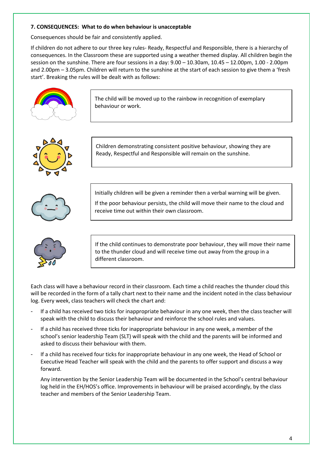## **7. CONSEQUENCES: What to do when behaviour is unacceptable**

Consequences should be fair and consistently applied.

If children do not adhere to our three key rules- Ready, Respectful and Responsible, there is a hierarchy of consequences. In the Classroom these are supported using a weather themed display. All children begin the session on the sunshine. There are four sessions in a day: 9.00 – 10.30am, 10.45 – 12.00pm, 1.00 - 2.00pm and 2.00pm – 3.05pm. Children will return to the sunshine at the start of each session to give them a 'fresh start'. Breaking the rules will be dealt with as follows:



The child will be moved up to the rainbow in recognition of exemplary behaviour or work.



Children demonstrating consistent positive behaviour, showing they are Ready, Respectful and Responsible will remain on the sunshine.



Initially children will be given a reminder then a verbal warning will be given.

If the poor behaviour persists, the child will move their name to the cloud and receive time out within their own classroom.

If the child continues to demonstrate poor behaviour, they will move their name to the thunder cloud and will receive time out away from the group in a different classroom.

Each class will have a behaviour record in their classroom. Each time a child reaches the thunder cloud this will be recorded in the form of a tally chart next to their name and the incident noted in the class behaviour log. Every week, class teachers will check the chart and:

- If a child has received two ticks for inappropriate behaviour in any one week, then the class teacher will speak with the child to discuss their behaviour and reinforce the school rules and values.
- If a child has received three ticks for inappropriate behaviour in any one week, a member of the school's senior leadership Team (SLT) will speak with the child and the parents will be informed and asked to discuss their behaviour with them.
- If a child has received four ticks for inappropriate behaviour in any one week, the Head of School or Executive Head Teacher will speak with the child and the parents to offer support and discuss a way forward.

Any intervention by the Senior Leadership Team will be documented in the School's central behaviour log held in the EH/HOS's office. Improvements in behaviour will be praised accordingly, by the class teacher and members of the Senior Leadership Team.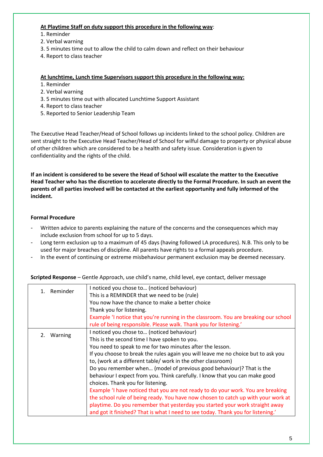### **At Playtime Staff on duty support this procedure in the following way**:

- 1. Reminder
- 2. Verbal warning
- 3. 5 minutes time out to allow the child to calm down and reflect on their behaviour
- 4. Report to class teacher

#### **At lunchtime, Lunch time Supervisors support this procedure in the following way:**

- 1. Reminder
- 2. Verbal warning
- 3. 5 minutes time out with allocated Lunchtime Support Assistant
- 4. Report to class teacher
- 5. Reported to Senior Leadership Team

The Executive Head Teacher/Head of School follows up incidents linked to the school policy. Children are sent straight to the Executive Head Teacher/Head of School for wilful damage to property or physical abuse of other children which are considered to be a health and safety issue. Consideration is given to confidentiality and the rights of the child.

**If an incident is considered to be severe the Head of School will escalate the matter to the Executive Head Teacher who has the discretion to accelerate directly to the Formal Procedure. In such an event the parents of all parties involved will be contacted at the earliest opportunity and fully informed of the incident.** 

## **Formal Procedure**

- Written advice to parents explaining the nature of the concerns and the consequences which may include exclusion from school for up to 5 days.
- Long term exclusion up to a maximum of 45 days (having followed LA procedures). N.B. This only to be used for major breaches of discipline. All parents have rights to a formal appeals procedure.
- In the event of continuing or extreme misbehaviour permanent exclusion may be deemed necessary.

**Scripted Response** – Gentle Approach, use child's name, child level, eye contact, deliver message

| 1. Reminder | I noticed you chose to (noticed behaviour)<br>This is a REMINDER that we need to be (rule)<br>You now have the chance to make a better choice<br>Thank you for listening.<br>Example 'I notice that you're running in the classroom. You are breaking our school<br>rule of being responsible. Please walk. Thank you for listening.'                                                                                                                                                                                                                                                                                                                                                                                                                                                                                                                  |
|-------------|--------------------------------------------------------------------------------------------------------------------------------------------------------------------------------------------------------------------------------------------------------------------------------------------------------------------------------------------------------------------------------------------------------------------------------------------------------------------------------------------------------------------------------------------------------------------------------------------------------------------------------------------------------------------------------------------------------------------------------------------------------------------------------------------------------------------------------------------------------|
| 2. Warning  | I noticed you chose to (noticed behaviour)<br>This is the second time I have spoken to you.<br>You need to speak to me for two minutes after the lesson.<br>If you choose to break the rules again you will leave me no choice but to ask you<br>to, (work at a different table/ work in the other classroom)<br>Do you remember when (model of previous good behaviour)? That is the<br>behaviour I expect from you. Think carefully. I know that you can make good<br>choices. Thank you for listening.<br>Example 'I have noticed that you are not ready to do your work. You are breaking<br>the school rule of being ready. You have now chosen to catch up with your work at<br>playtime. Do you remember that yesterday you started your work straight away<br>and got it finished? That is what I need to see today. Thank you for listening.' |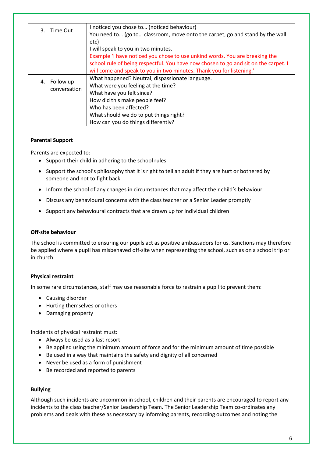| Time Out | I noticed you chose to (noticed behaviour) |                                                                                     |
|----------|--------------------------------------------|-------------------------------------------------------------------------------------|
|          |                                            | You need to (go to classroom, move onto the carpet, go and stand by the wall        |
|          |                                            | etc)                                                                                |
|          |                                            | I will speak to you in two minutes.                                                 |
|          |                                            | Example 'I have noticed you chose to use unkind words. You are breaking the         |
|          |                                            | school rule of being respectful. You have now chosen to go and sit on the carpet. I |
|          |                                            | will come and speak to you in two minutes. Thank you for listening.'                |
| 4.       | Follow up<br>conversation                  | What happened? Neutral, dispassionate language.                                     |
|          |                                            | What were you feeling at the time?                                                  |
|          |                                            | What have you felt since?                                                           |
|          |                                            | How did this make people feel?                                                      |
|          |                                            | Who has been affected?                                                              |
|          |                                            | What should we do to put things right?                                              |
|          |                                            | How can you do things differently?                                                  |

#### **Parental Support**

Parents are expected to:

- Support their child in adhering to the school rules
- Support the school's philosophy that it is right to tell an adult if they are hurt or bothered by someone and not to fight back
- Inform the school of any changes in circumstances that may affect their child's behaviour
- Discuss any behavioural concerns with the class teacher or a Senior Leader promptly
- Support any behavioural contracts that are drawn up for individual children

### **Off-site behaviour**

The school is committed to ensuring our pupils act as positive ambassadors for us. Sanctions may therefore be applied where a pupil has misbehaved off-site when representing the school, such as on a school trip or in church.

## **Physical restraint**

In some rare circumstances, staff may use reasonable force to restrain a pupil to prevent them:

- Causing disorder
- Hurting themselves or others
- Damaging property

Incidents of physical restraint must:

- Always be used as a last resort
- Be applied using the minimum amount of force and for the minimum amount of time possible
- Be used in a way that maintains the safety and dignity of all concerned
- Never be used as a form of punishment
- Be recorded and reported to parents

#### **Bullying**

Although such incidents are uncommon in school, children and their parents are encouraged to report any incidents to the class teacher/Senior Leadership Team. The Senior Leadership Team co-ordinates any problems and deals with these as necessary by informing parents, recording outcomes and noting the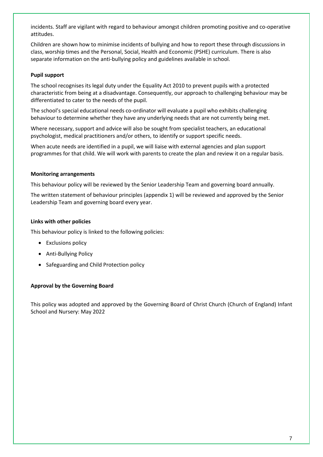incidents. Staff are vigilant with regard to behaviour amongst children promoting positive and co-operative attitudes.

Children are shown how to minimise incidents of bullying and how to report these through discussions in class, worship times and the Personal, Social, Health and Economic (PSHE) curriculum. There is also separate information on the anti-bullying policy and guidelines available in school.

### **Pupil support**

The school recognises its legal duty under the Equality Act 2010 to prevent pupils with a protected characteristic from being at a disadvantage. Consequently, our approach to challenging behaviour may be differentiated to cater to the needs of the pupil.

The school's special educational needs co-ordinator will evaluate a pupil who exhibits challenging behaviour to determine whether they have any underlying needs that are not currently being met.

Where necessary, support and advice will also be sought from specialist teachers, an educational psychologist, medical practitioners and/or others, to identify or support specific needs.

When acute needs are identified in a pupil, we will liaise with external agencies and plan support programmes for that child. We will work with parents to create the plan and review it on a regular basis.

#### **Monitoring arrangements**

This behaviour policy will be reviewed by the Senior Leadership Team and governing board annually.

The written statement of behaviour principles (appendix 1) will be reviewed and approved by the Senior Leadership Team and governing board every year.

#### **Links with other policies**

This behaviour policy is linked to the following policies:

- Exclusions policy
- Anti-Bullying Policy
- Safeguarding and Child Protection policy

#### **Approval by the Governing Board**

This policy was adopted and approved by the Governing Board of Christ Church (Church of England) Infant School and Nursery: May 2022